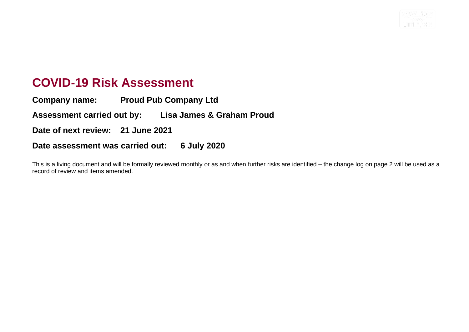

## **COVID-19 Risk Assessment**

**Company name: Proud Pub Company Ltd Assessment carried out by: Lisa James & Graham Proud Date of next review: 21 June 2021 Date assessment was carried out: 6 July 2020**

This is a living document and will be formally reviewed monthly or as and when further risks are identified – the change log on page 2 will be used as a record of review and items amended.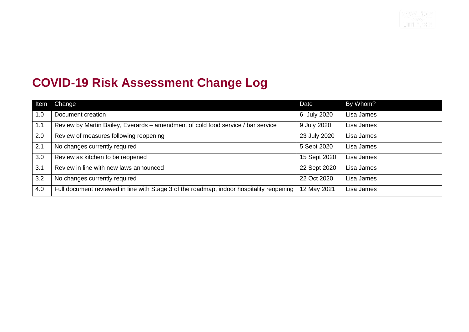

## **COVID-19 Risk Assessment Change Log**

| Item         | <b>Change</b>                                                                            | Date         | By Whom?   |
|--------------|------------------------------------------------------------------------------------------|--------------|------------|
| 1.0          | Document creation                                                                        | 6 July 2020  | Lisa James |
| 1.1          | Review by Martin Bailey, Everards – amendment of cold food service / bar service         | 9 July 2020  | Lisa James |
| 2.0          | Review of measures following reopening                                                   | 23 July 2020 | Lisa James |
| $\sqrt{2.1}$ | No changes currently required                                                            | 5 Sept 2020  | Lisa James |
| 3.0          | Review as kitchen to be reopened                                                         | 15 Sept 2020 | Lisa James |
| 3.1          | Review in line with new laws announced                                                   | 22 Sept 2020 | Lisa James |
| 3.2          | No changes currently required                                                            | 22 Oct 2020  | Lisa James |
| 4.0          | Full document reviewed in line with Stage 3 of the roadmap, indoor hospitality reopening | 12 May 2021  | Lisa James |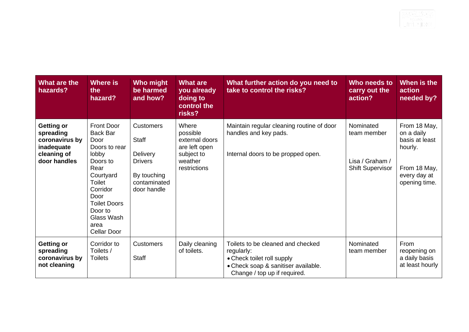| What are the<br>hazards?                                                                      | Where is<br>the<br>hazard?                                                                                                                                                                                          | Who might<br>be harmed<br>and how?                                                                                  | <b>What are</b><br>you already<br>doing to<br>control the<br>risks?                           | What further action do you need to<br>take to control the risks?                                                                                     | Who needs to<br>carry out the<br>action?                               | When is the<br>action<br>needed by?                                                                      |
|-----------------------------------------------------------------------------------------------|---------------------------------------------------------------------------------------------------------------------------------------------------------------------------------------------------------------------|---------------------------------------------------------------------------------------------------------------------|-----------------------------------------------------------------------------------------------|------------------------------------------------------------------------------------------------------------------------------------------------------|------------------------------------------------------------------------|----------------------------------------------------------------------------------------------------------|
| <b>Getting or</b><br>spreading<br>coronavirus by<br>inadequate<br>cleaning of<br>door handles | <b>Front Door</b><br><b>Back Bar</b><br>Door<br>Doors to rear<br>lobby<br>Doors to<br>Rear<br>Courtyard<br>Toilet<br>Corridor<br>Door<br><b>Toilet Doors</b><br>Door to<br>Glass Wash<br>area<br><b>Cellar Door</b> | <b>Customers</b><br><b>Staff</b><br><b>Delivery</b><br><b>Drivers</b><br>By touching<br>contaminated<br>door handle | Where<br>possible<br>external doors<br>are left open<br>subject to<br>weather<br>restrictions | Maintain regular cleaning routine of door<br>handles and key pads.<br>Internal doors to be propped open.                                             | Nominated<br>team member<br>Lisa / Graham /<br><b>Shift Supervisor</b> | From 18 May,<br>on a daily<br>basis at least<br>hourly.<br>From 18 May,<br>every day at<br>opening time. |
| <b>Getting or</b><br>spreading<br>coronavirus by<br>not cleaning                              | Corridor to<br>Toilets /<br><b>Toilets</b>                                                                                                                                                                          | <b>Customers</b><br><b>Staff</b>                                                                                    | Daily cleaning<br>of toilets.                                                                 | Toilets to be cleaned and checked<br>regularly:<br>• Check toilet roll supply<br>• Check soap & sanitiser available.<br>Change / top up if required. | Nominated<br>team member                                               | From<br>reopening on<br>a daily basis<br>at least hourly                                                 |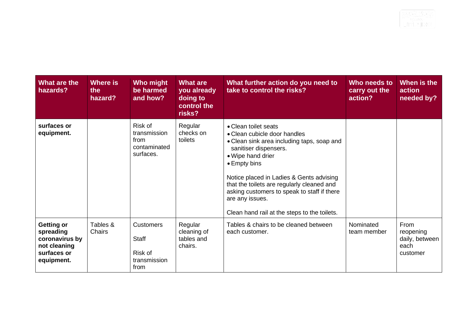| What are the<br>hazards?                                                               | Where is<br>the<br>hazard? | Who might<br>be harmed<br>and how?                                  | <b>What are</b><br>you already<br>doing to<br>control the<br>risks? | What further action do you need to<br>take to control the risks?                                                                                                                                                                                                                                                                                                             | Who needs to<br>carry out the<br>action? | When is the<br>action<br>needed by?                     |
|----------------------------------------------------------------------------------------|----------------------------|---------------------------------------------------------------------|---------------------------------------------------------------------|------------------------------------------------------------------------------------------------------------------------------------------------------------------------------------------------------------------------------------------------------------------------------------------------------------------------------------------------------------------------------|------------------------------------------|---------------------------------------------------------|
| surfaces or<br>equipment.                                                              |                            | Risk of<br>transmission<br>from<br>contaminated<br>surfaces.        | Regular<br>checks on<br>toilets                                     | • Clean toilet seats<br>• Clean cubicle door handles<br>• Clean sink area including taps, soap and<br>sanitiser dispensers.<br>• Wipe hand drier<br>• Empty bins<br>Notice placed in Ladies & Gents advising<br>that the toilets are regularly cleaned and<br>asking customers to speak to staff if there<br>are any issues.<br>Clean hand rail at the steps to the toilets. |                                          |                                                         |
| Getting or<br>spreading<br>coronavirus by<br>not cleaning<br>surfaces or<br>equipment. | Tables &<br>Chairs         | <b>Customers</b><br><b>Staff</b><br>Risk of<br>transmission<br>from | Regular<br>cleaning of<br>tables and<br>chairs.                     | Tables & chairs to be cleaned between<br>each customer.                                                                                                                                                                                                                                                                                                                      | Nominated<br>team member                 | From<br>reopening<br>daily, between<br>each<br>customer |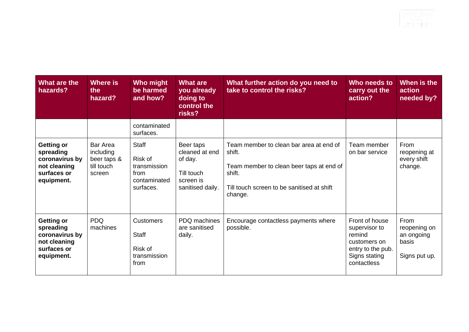| What are the<br>hazards?                                                                      | Where is<br>the<br>hazard?                                          | Who might<br>be harmed<br>and how?                                           | <b>What are</b><br>you already<br>doing to<br>control the<br>risks?                   | What further action do you need to<br>take to control the risks?                                                                                                 | Who needs to<br>carry out the<br>action?                                                                       | When is the<br>action<br>needed by?                          |
|-----------------------------------------------------------------------------------------------|---------------------------------------------------------------------|------------------------------------------------------------------------------|---------------------------------------------------------------------------------------|------------------------------------------------------------------------------------------------------------------------------------------------------------------|----------------------------------------------------------------------------------------------------------------|--------------------------------------------------------------|
|                                                                                               |                                                                     | contaminated<br>surfaces.                                                    |                                                                                       |                                                                                                                                                                  |                                                                                                                |                                                              |
| <b>Getting or</b><br>spreading<br>coronavirus by<br>not cleaning<br>surfaces or<br>equipment. | <b>Bar Area</b><br>including<br>beer taps &<br>till touch<br>screen | <b>Staff</b><br>Risk of<br>transmission<br>from<br>contaminated<br>surfaces. | Beer taps<br>cleaned at end<br>of day.<br>Till touch<br>screen is<br>sanitised daily. | Team member to clean bar area at end of<br>shift.<br>Team member to clean beer taps at end of<br>shift.<br>Till touch screen to be sanitised at shift<br>change. | Team member<br>on bar service                                                                                  | From<br>reopening at<br>every shift<br>change.               |
| <b>Getting or</b><br>spreading<br>coronavirus by<br>not cleaning<br>surfaces or<br>equipment. | <b>PDQ</b><br>machines                                              | <b>Customers</b><br><b>Staff</b><br>Risk of<br>transmission<br>from          | PDQ machines<br>are sanitised<br>daily.                                               | Encourage contactless payments where<br>possible.                                                                                                                | Front of house<br>supervisor to<br>remind<br>customers on<br>entry to the pub.<br>Signs stating<br>contactless | From<br>reopening on<br>an ongoing<br>basis<br>Signs put up. |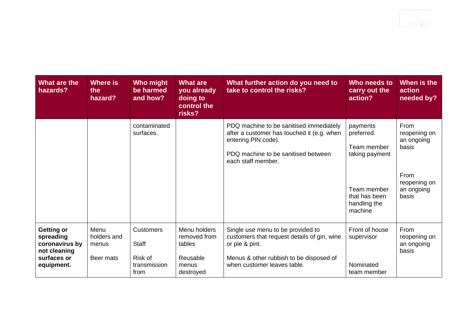| What are the<br>hazards?                                                                      | Where is<br>the<br>hazard?                | Who might<br>be harmed<br>and how?                                  | <b>What are</b><br>you already<br>doing to<br>control the<br>risks?      | What further action do you need to<br>take to control the risks?                                                                                                             | Who needs to<br>carry out the<br>action?                                                                           | When is the<br>action<br>needed by?                                                        |
|-----------------------------------------------------------------------------------------------|-------------------------------------------|---------------------------------------------------------------------|--------------------------------------------------------------------------|------------------------------------------------------------------------------------------------------------------------------------------------------------------------------|--------------------------------------------------------------------------------------------------------------------|--------------------------------------------------------------------------------------------|
|                                                                                               |                                           | contaminated<br>surfaces.                                           |                                                                          | PDQ machine to be sanitised immediately<br>after a customer has touched it (e.g. when<br>entering PIN code).<br>PDQ machine to be sanitised between<br>each staff member.    | payments<br>preferred.<br>Team member<br>taking payment<br>Team member<br>that has been<br>handling the<br>machine | From<br>reopening on<br>an ongoing<br>basis<br>From<br>reopening on<br>an ongoing<br>basis |
| <b>Getting or</b><br>spreading<br>coronavirus by<br>not cleaning<br>surfaces or<br>equipment. | Menu<br>holders and<br>menus<br>Beer mats | <b>Customers</b><br><b>Staff</b><br>Risk of<br>transmission<br>from | Menu holders<br>removed from<br>tables<br>Reusable<br>menus<br>destroyed | Single use menu to be provided to<br>customers that request details of gin, wine<br>or pie & pint.<br>Menus & other rubbish to be disposed of<br>when customer leaves table. | Front of house<br>supervisor<br>Nominated<br>team member                                                           | From<br>reopening on<br>an ongoing<br>basis                                                |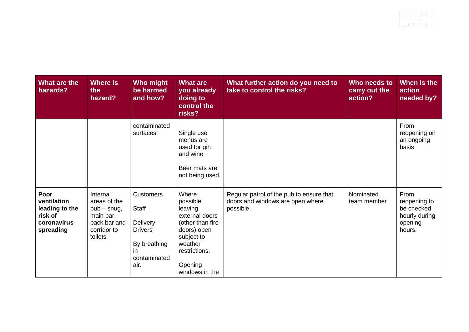| What are the<br>hazards?                                                     | Where is<br>the<br>hazard?                                                                       | Who might<br>be harmed<br>and how?                                                                            | <b>What are</b><br>you already<br>doing to<br>control the<br>risks?                                                                                      | What further action do you need to<br>take to control the risks?                          | Who needs to<br>carry out the<br>action? | When is the<br>action<br>needed by?                                      |
|------------------------------------------------------------------------------|--------------------------------------------------------------------------------------------------|---------------------------------------------------------------------------------------------------------------|----------------------------------------------------------------------------------------------------------------------------------------------------------|-------------------------------------------------------------------------------------------|------------------------------------------|--------------------------------------------------------------------------|
|                                                                              |                                                                                                  | contaminated<br>surfaces                                                                                      | Single use<br>menus are<br>used for gin<br>and wine<br>Beer mats are<br>not being used.                                                                  |                                                                                           |                                          | From<br>reopening on<br>an ongoing<br>basis                              |
| Poor<br>ventilation<br>leading to the<br>risk of<br>coronavirus<br>spreading | Internal<br>areas of the<br>$pub - snug,$<br>main bar,<br>back bar and<br>corridor to<br>toilets | <b>Customers</b><br><b>Staff</b><br>Delivery<br><b>Drivers</b><br>By breathing<br>-in<br>contaminated<br>air. | Where<br>possible<br>leaving<br>external doors<br>(other than fire<br>doors) open<br>subject to<br>weather<br>restrictions.<br>Opening<br>windows in the | Regular patrol of the pub to ensure that<br>doors and windows are open where<br>possible. | Nominated<br>team member                 | From<br>reopening to<br>be checked<br>hourly during<br>opening<br>hours. |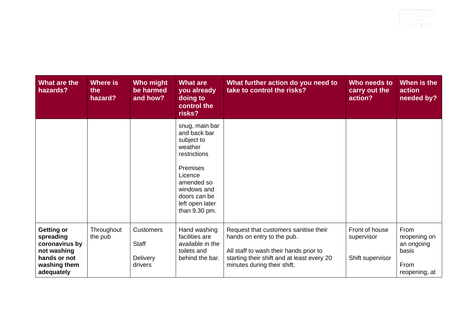| What are the<br>hazards?                                                                                      | Where is<br>the<br>hazard? | Who might<br>be harmed<br>and how?               | <b>What are</b><br>you already<br>doing to<br>control the<br>risks?                                                                                                             | What further action do you need to<br>take to control the risks?                                                                                                                           | Who needs to<br>carry out the<br>action?         | When is the<br>action<br>needed by?                                  |
|---------------------------------------------------------------------------------------------------------------|----------------------------|--------------------------------------------------|---------------------------------------------------------------------------------------------------------------------------------------------------------------------------------|--------------------------------------------------------------------------------------------------------------------------------------------------------------------------------------------|--------------------------------------------------|----------------------------------------------------------------------|
|                                                                                                               |                            |                                                  | snug, main bar<br>and back bar<br>subject to<br>weather<br>restrictions<br>Premises<br>Licence<br>amended so<br>windows and<br>doors can be<br>left open later<br>than 9.30 pm. |                                                                                                                                                                                            |                                                  |                                                                      |
| <b>Getting or</b><br>spreading<br>coronavirus by<br>not washing<br>hands or not<br>washing them<br>adequately | Throughout<br>the pub      | <b>Customers</b><br>Staff<br>Delivery<br>drivers | Hand washing<br>facilities are<br>available in the<br>toilets and<br>behind the bar.                                                                                            | Request that customers sanitise their<br>hands on entry to the pub.<br>All staff to wash their hands prior to<br>starting their shift and at least every 20<br>minutes during their shift. | Front of house<br>supervisor<br>Shift supervisor | From<br>reopening on<br>an ongoing<br>basis<br>From<br>reopening, at |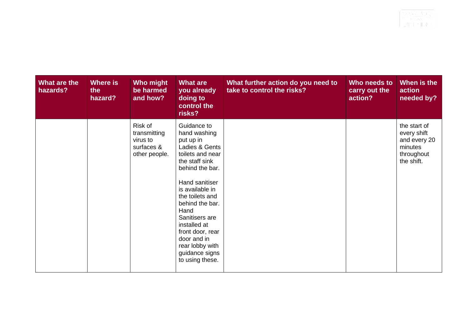| What are the<br>hazards? | Where is<br>the<br>hazard? | Who might<br>be harmed<br>and how?                                 | <b>What are</b><br>you already<br>doing to<br>control the<br>risks?                                                                                                                                                                                                                                                                 | What further action do you need to<br>take to control the risks? | Who needs to<br>carry out the<br>action? | When is the<br>action<br>needed by?                                                |
|--------------------------|----------------------------|--------------------------------------------------------------------|-------------------------------------------------------------------------------------------------------------------------------------------------------------------------------------------------------------------------------------------------------------------------------------------------------------------------------------|------------------------------------------------------------------|------------------------------------------|------------------------------------------------------------------------------------|
|                          |                            | Risk of<br>transmitting<br>virus to<br>surfaces &<br>other people. | Guidance to<br>hand washing<br>put up in<br>Ladies & Gents<br>toilets and near<br>the staff sink<br>behind the bar.<br>Hand sanitiser<br>is available in<br>the toilets and<br>behind the bar.<br>Hand<br>Sanitisers are<br>installed at<br>front door, rear<br>door and in<br>rear lobby with<br>guidance signs<br>to using these. |                                                                  |                                          | the start of<br>every shift<br>and every 20<br>minutes<br>throughout<br>the shift. |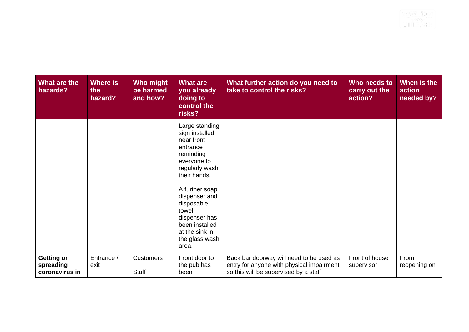| What are the<br>hazards?                         | <b>Where is</b><br>the<br>hazard? | Who might<br>be harmed<br>and how? | <b>What are</b><br>you already<br>doing to<br>control the<br>risks?                                                                                                                                                                                                | What further action do you need to<br>take to control the risks?                                                               | Who needs to<br>carry out the<br>action? | When is the<br>action<br>needed by? |
|--------------------------------------------------|-----------------------------------|------------------------------------|--------------------------------------------------------------------------------------------------------------------------------------------------------------------------------------------------------------------------------------------------------------------|--------------------------------------------------------------------------------------------------------------------------------|------------------------------------------|-------------------------------------|
|                                                  |                                   |                                    | Large standing<br>sign installed<br>near front<br>entrance<br>reminding<br>everyone to<br>regularly wash<br>their hands.<br>A further soap<br>dispenser and<br>disposable<br>towel<br>dispenser has<br>been installed<br>at the sink in<br>the glass wash<br>area. |                                                                                                                                |                                          |                                     |
| <b>Getting or</b><br>spreading<br>coronavirus in | Entrance /<br>exit                | <b>Customers</b><br>Staff          | Front door to<br>the pub has<br>been                                                                                                                                                                                                                               | Back bar doorway will need to be used as<br>entry for anyone with physical impairment<br>so this will be supervised by a staff | Front of house<br>supervisor             | From<br>reopening on                |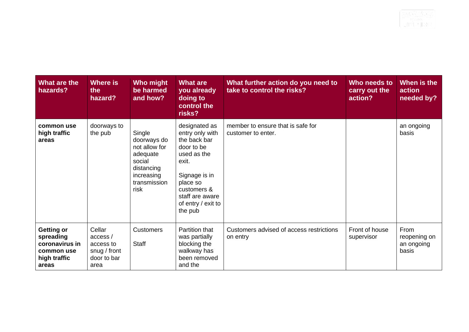| What are the<br>hazards?                                                         | Where is<br>the<br>hazard?                                             | Who might<br>be harmed<br>and how?                                                                               | <b>What are</b><br>you already<br>doing to<br>control the<br>risks?                                                                                                                    | What further action do you need to<br>take to control the risks? | Who needs to<br>carry out the<br>action? | When is the<br>action<br>needed by?         |
|----------------------------------------------------------------------------------|------------------------------------------------------------------------|------------------------------------------------------------------------------------------------------------------|----------------------------------------------------------------------------------------------------------------------------------------------------------------------------------------|------------------------------------------------------------------|------------------------------------------|---------------------------------------------|
| common use<br>high traffic<br>areas                                              | doorways to<br>the pub                                                 | Single<br>doorways do<br>not allow for<br>adequate<br>social<br>distancing<br>increasing<br>transmission<br>risk | designated as<br>entry only with<br>the back bar<br>door to be<br>used as the<br>exit.<br>Signage is in<br>place so<br>customers &<br>staff are aware<br>of entry / exit to<br>the pub | member to ensure that is safe for<br>customer to enter.          |                                          | an ongoing<br>basis                         |
| Getting or<br>spreading<br>coronavirus in<br>common use<br>high traffic<br>areas | Cellar<br>access /<br>access to<br>snug / front<br>door to bar<br>area | <b>Customers</b><br><b>Staff</b>                                                                                 | Partition that<br>was partially<br>blocking the<br>walkway has<br>been removed<br>and the                                                                                              | Customers advised of access restrictions<br>on entry             | Front of house<br>supervisor             | From<br>reopening on<br>an ongoing<br>basis |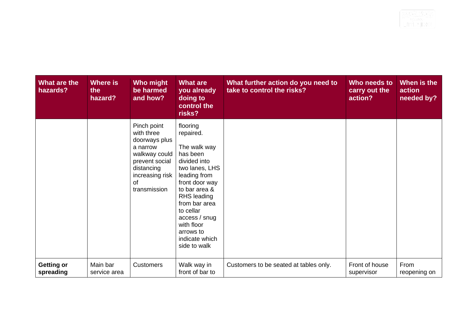| What are the<br>hazards?       | Where is<br>the<br>hazard? | Who might<br>be harmed<br>and how?                                                                                                               | <b>What are</b><br>you already<br>doing to<br>control the<br>risks?                                                                                                                                                                                                      | What further action do you need to<br>take to control the risks? | Who needs to<br>carry out the<br>action? | When is the<br>action<br>needed by? |
|--------------------------------|----------------------------|--------------------------------------------------------------------------------------------------------------------------------------------------|--------------------------------------------------------------------------------------------------------------------------------------------------------------------------------------------------------------------------------------------------------------------------|------------------------------------------------------------------|------------------------------------------|-------------------------------------|
|                                |                            | Pinch point<br>with three<br>doorways plus<br>a narrow<br>walkway could<br>prevent social<br>distancing<br>increasing risk<br>of<br>transmission | flooring<br>repaired.<br>The walk way<br>has been<br>divided into<br>two lanes, LHS<br>leading from<br>front door way<br>to bar area &<br><b>RHS leading</b><br>from bar area<br>to cellar<br>access / snug<br>with floor<br>arrows to<br>indicate which<br>side to walk |                                                                  |                                          |                                     |
| <b>Getting or</b><br>spreading | Main bar<br>service area   | <b>Customers</b>                                                                                                                                 | Walk way in<br>front of bar to                                                                                                                                                                                                                                           | Customers to be seated at tables only.                           | Front of house<br>supervisor             | From<br>reopening on                |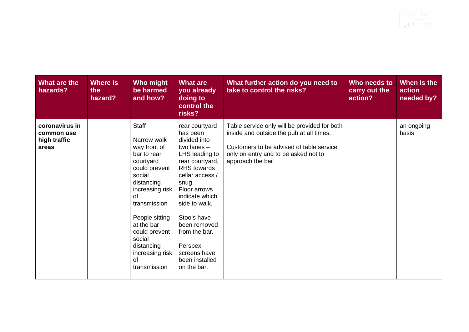| What are the<br>hazards?                              | Where is<br>the<br>hazard? | Who might<br>be harmed<br>and how?                                                                                                                                                                                                                                          | <b>What are</b><br>you already<br>doing to<br>control the<br>risks?                                                                                                                                                                                                                                        | What further action do you need to<br>take to control the risks?                                                                                                                                  | Who needs to<br>carry out the<br>action? | When is the<br>action<br>needed by? |
|-------------------------------------------------------|----------------------------|-----------------------------------------------------------------------------------------------------------------------------------------------------------------------------------------------------------------------------------------------------------------------------|------------------------------------------------------------------------------------------------------------------------------------------------------------------------------------------------------------------------------------------------------------------------------------------------------------|---------------------------------------------------------------------------------------------------------------------------------------------------------------------------------------------------|------------------------------------------|-------------------------------------|
| coronavirus in<br>common use<br>high traffic<br>areas |                            | <b>Staff</b><br>Narrow walk<br>way front of<br>bar to rear<br>courtyard<br>could prevent<br>social<br>distancing<br>increasing risk<br>of<br>transmission<br>People sitting<br>at the bar<br>could prevent<br>social<br>distancing<br>increasing risk<br>0f<br>transmission | rear courtyard<br>has been<br>divided into<br>two lanes $-$<br>LHS leading to<br>rear courtyard,<br>RHS towards<br>cellar access /<br>snug.<br>Floor arrows<br>indicate which<br>side to walk.<br>Stools have<br>been removed<br>from the bar.<br>Perspex<br>screens have<br>been installed<br>on the bar. | Table service only will be provided for both<br>inside and outside the pub at all times.<br>Customers to be advised of table service<br>only on entry and to be asked not to<br>approach the bar. |                                          | an ongoing<br>basis                 |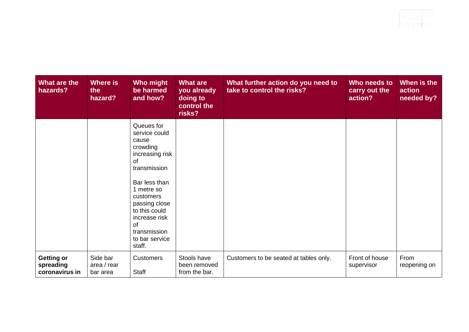| What are the<br>hazards?                         | Where is<br>the<br>hazard?          | Who might<br>be harmed<br>and how?                                                                                                                                                                                                         | <b>What are</b><br>you already<br>doing to<br>control the<br>risks? | What further action do you need to<br>take to control the risks? | Who needs to<br>carry out the<br>action? | When is the<br>action<br>needed by? |
|--------------------------------------------------|-------------------------------------|--------------------------------------------------------------------------------------------------------------------------------------------------------------------------------------------------------------------------------------------|---------------------------------------------------------------------|------------------------------------------------------------------|------------------------------------------|-------------------------------------|
|                                                  |                                     | Queues for<br>service could<br>cause<br>crowding<br>increasing risk<br>of<br>transmission<br>Bar less than<br>1 metre so<br>customers<br>passing close<br>to this could<br>increase risk<br>0f<br>transmission<br>to bar service<br>staff. |                                                                     |                                                                  |                                          |                                     |
| <b>Getting or</b><br>spreading<br>coronavirus in | Side bar<br>area / rear<br>bar area | <b>Customers</b><br><b>Staff</b>                                                                                                                                                                                                           | Stools have<br>been removed<br>from the bar.                        | Customers to be seated at tables only.                           | Front of house<br>supervisor             | From<br>reopening on                |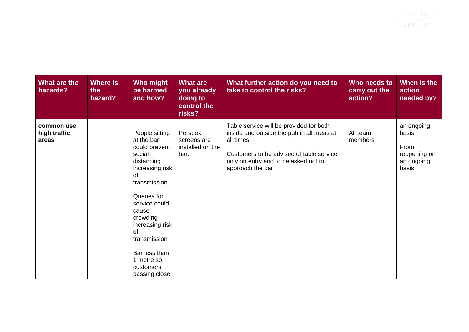| What are the<br>hazards?            | <b>Where is</b><br>the<br>hazard? | Who might<br>be harmed<br>and how?                                                                                                                                                                                                                                       | <b>What are</b><br>you already<br>doing to<br>control the<br>risks? | What further action do you need to<br>take to control the risks?                                                                                                                                             | Who needs to<br>carry out the<br>action? | When is the<br>action<br>needed by?                                |
|-------------------------------------|-----------------------------------|--------------------------------------------------------------------------------------------------------------------------------------------------------------------------------------------------------------------------------------------------------------------------|---------------------------------------------------------------------|--------------------------------------------------------------------------------------------------------------------------------------------------------------------------------------------------------------|------------------------------------------|--------------------------------------------------------------------|
| common use<br>high traffic<br>areas |                                   | People sitting<br>at the bar<br>could prevent<br>social<br>distancing<br>increasing risk<br>of<br>transmission<br>Queues for<br>service could<br>cause<br>crowding<br>increasing risk<br>of<br>transmission<br>Bar less than<br>1 metre so<br>customers<br>passing close | Perspex<br>screens are<br>installed on the<br>bar.                  | Table service will be provided for both<br>inside and outside the pub in all areas at<br>all times.<br>Customers to be advised of table service<br>only on entry and to be asked not to<br>approach the bar. | All team<br>members                      | an ongoing<br>basis<br>From<br>reopening on<br>an ongoing<br>basis |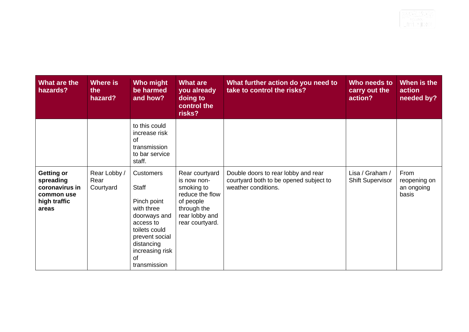| What are the<br>hazards?                                                                | Where is<br>the<br>hazard?        | Who might<br>be harmed<br>and how?                                                                                                                                                   | <b>What are</b><br>you already<br>doing to<br>control the<br>risks?                                                             | What further action do you need to<br>take to control the risks?                                     | Who needs to<br>carry out the<br>action?   | When is the<br>action<br>needed by?         |
|-----------------------------------------------------------------------------------------|-----------------------------------|--------------------------------------------------------------------------------------------------------------------------------------------------------------------------------------|---------------------------------------------------------------------------------------------------------------------------------|------------------------------------------------------------------------------------------------------|--------------------------------------------|---------------------------------------------|
|                                                                                         |                                   | to this could<br>increase risk<br>of<br>transmission<br>to bar service<br>staff.                                                                                                     |                                                                                                                                 |                                                                                                      |                                            |                                             |
| <b>Getting or</b><br>spreading<br>coronavirus in<br>common use<br>high traffic<br>areas | Rear Lobby /<br>Rear<br>Courtyard | <b>Customers</b><br>Staff<br>Pinch point<br>with three<br>doorways and<br>access to<br>toilets could<br>prevent social<br>distancing<br>increasing risk<br><b>of</b><br>transmission | Rear courtyard<br>is now non-<br>smoking to<br>reduce the flow<br>of people<br>through the<br>rear lobby and<br>rear courtyard. | Double doors to rear lobby and rear<br>courtyard both to be opened subject to<br>weather conditions. | Lisa / Graham /<br><b>Shift Supervisor</b> | From<br>reopening on<br>an ongoing<br>basis |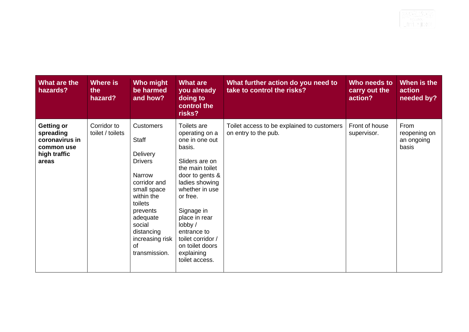| What are the<br>hazards?                                                                | Where is<br>the<br>hazard?      | Who might<br>be harmed<br>and how?                                                                                                                                                                                                       | <b>What are</b><br>you already<br>doing to<br>control the<br>risks?                                                                                                                                                                                                                                | What further action do you need to<br>take to control the risks?   | Who needs to<br>carry out the<br>action? | When is the<br>action<br>needed by?         |
|-----------------------------------------------------------------------------------------|---------------------------------|------------------------------------------------------------------------------------------------------------------------------------------------------------------------------------------------------------------------------------------|----------------------------------------------------------------------------------------------------------------------------------------------------------------------------------------------------------------------------------------------------------------------------------------------------|--------------------------------------------------------------------|------------------------------------------|---------------------------------------------|
| <b>Getting or</b><br>spreading<br>coronavirus in<br>common use<br>high traffic<br>areas | Corridor to<br>toilet / toilets | <b>Customers</b><br><b>Staff</b><br><b>Delivery</b><br><b>Drivers</b><br><b>Narrow</b><br>corridor and<br>small space<br>within the<br>toilets<br>prevents<br>adequate<br>social<br>distancing<br>increasing risk<br>of<br>transmission. | Toilets are<br>operating on a<br>one in one out<br>basis.<br>Sliders are on<br>the main toilet<br>door to gents &<br>ladies showing<br>whether in use<br>or free.<br>Signage in<br>place in rear<br>lobby /<br>entrance to<br>toilet corridor /<br>on toilet doors<br>explaining<br>toilet access. | Toilet access to be explained to customers<br>on entry to the pub. | Front of house<br>supervisor.            | From<br>reopening on<br>an ongoing<br>basis |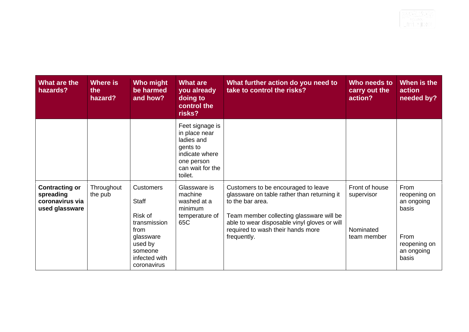| What are the<br>hazards?                                                | Where is<br>the<br>hazard? | Who might<br>be harmed<br>and how?                                                                                                     | <b>What are</b><br>you already<br>doing to<br>control the<br>risks?                                                       | What further action do you need to<br>take to control the risks?                                                                                                                                                                                       | Who needs to<br>carry out the<br>action?                 | When is the<br>action<br>needed by?                                                        |
|-------------------------------------------------------------------------|----------------------------|----------------------------------------------------------------------------------------------------------------------------------------|---------------------------------------------------------------------------------------------------------------------------|--------------------------------------------------------------------------------------------------------------------------------------------------------------------------------------------------------------------------------------------------------|----------------------------------------------------------|--------------------------------------------------------------------------------------------|
|                                                                         |                            |                                                                                                                                        | Feet signage is<br>in place near<br>ladies and<br>gents to<br>indicate where<br>one person<br>can wait for the<br>toilet. |                                                                                                                                                                                                                                                        |                                                          |                                                                                            |
| <b>Contracting or</b><br>spreading<br>coronavirus via<br>used glassware | Throughout<br>the pub      | <b>Customers</b><br><b>Staff</b><br>Risk of<br>transmission<br>from<br>glassware<br>used by<br>someone<br>infected with<br>coronavirus | Glassware is<br>machine<br>washed at a<br>minimum<br>temperature of<br>65C                                                | Customers to be encouraged to leave<br>glassware on table rather than returning it<br>to the bar area.<br>Team member collecting glassware will be<br>able to wear disposable vinyl gloves or will<br>required to wash their hands more<br>frequently. | Front of house<br>supervisor<br>Nominated<br>team member | From<br>reopening on<br>an ongoing<br>basis<br>From<br>reopening on<br>an ongoing<br>basis |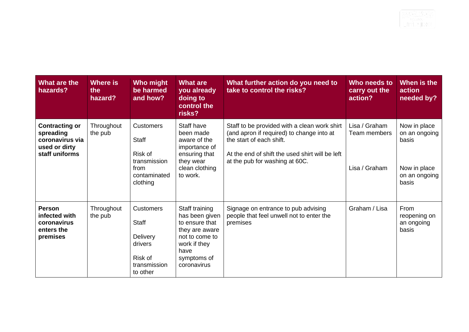| What are the<br>hazards?                                                                 | Where is<br>the<br>hazard? | Who might<br>be harmed<br>and how?                                                              | <b>What are</b><br>you already<br>doing to<br>control the<br>risks?                                                                          | What further action do you need to<br>take to control the risks?                                                                                                                                           | Who needs to<br>carry out the<br>action?       | When is the<br>action<br>needed by?                                              |
|------------------------------------------------------------------------------------------|----------------------------|-------------------------------------------------------------------------------------------------|----------------------------------------------------------------------------------------------------------------------------------------------|------------------------------------------------------------------------------------------------------------------------------------------------------------------------------------------------------------|------------------------------------------------|----------------------------------------------------------------------------------|
| <b>Contracting or</b><br>spreading<br>coronavirus via<br>used or dirty<br>staff uniforms | Throughout<br>the pub      | <b>Customers</b><br><b>Staff</b><br>Risk of<br>transmission<br>from<br>contaminated<br>clothing | Staff have<br>been made<br>aware of the<br>importance of<br>ensuring that<br>they wear<br>clean clothing<br>to work.                         | Staff to be provided with a clean work shirt<br>(and apron if required) to change into at<br>the start of each shift.<br>At the end of shift the used shirt will be left<br>at the pub for washing at 60C. | Lisa / Graham<br>Team members<br>Lisa / Graham | Now in place<br>on an ongoing<br>basis<br>Now in place<br>on an ongoing<br>basis |
| <b>Person</b><br>infected with<br>coronavirus<br>enters the<br>premises                  | Throughout<br>the pub      | <b>Customers</b><br><b>Staff</b><br>Delivery<br>drivers<br>Risk of<br>transmission<br>to other  | Staff training<br>has been given<br>to ensure that<br>they are aware<br>not to come to<br>work if they<br>have<br>symptoms of<br>coronavirus | Signage on entrance to pub advising<br>people that feel unwell not to enter the<br>premises                                                                                                                | Graham / Lisa                                  | From<br>reopening on<br>an ongoing<br>basis                                      |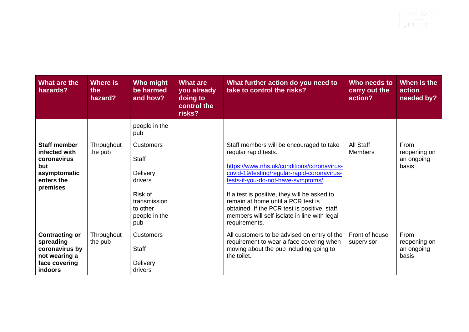| What are the<br>hazards?                                                                                 | Where is<br>the<br>hazard? | Who might<br>be harmed<br>and how?                                                                                            | <b>What are</b><br>you already<br>doing to<br>control the<br>risks? | What further action do you need to<br>take to control the risks?                                                                                                                                                                                                                                                                                                                                           | Who needs to<br>carry out the<br>action? | When is the<br>action<br>needed by?         |
|----------------------------------------------------------------------------------------------------------|----------------------------|-------------------------------------------------------------------------------------------------------------------------------|---------------------------------------------------------------------|------------------------------------------------------------------------------------------------------------------------------------------------------------------------------------------------------------------------------------------------------------------------------------------------------------------------------------------------------------------------------------------------------------|------------------------------------------|---------------------------------------------|
|                                                                                                          |                            | people in the<br>pub                                                                                                          |                                                                     |                                                                                                                                                                                                                                                                                                                                                                                                            |                                          |                                             |
| <b>Staff member</b><br>infected with<br>coronavirus<br>but<br>asymptomatic<br>enters the<br>premises     | Throughout<br>the pub      | <b>Customers</b><br><b>Staff</b><br><b>Delivery</b><br>drivers<br>Risk of<br>transmission<br>to other<br>people in the<br>pub |                                                                     | Staff members will be encouraged to take<br>regular rapid tests.<br>https://www.nhs.uk/conditions/coronavirus-<br>covid-19/testing/regular-rapid-coronavirus-<br>tests-if-you-do-not-have-symptoms/<br>If a test is positive, they will be asked to<br>remain at home until a PCR test is<br>obtained. If the PCR test is positive, staff<br>members will self-isolate in line with legal<br>requirements. | All Staff<br><b>Members</b>              | From<br>reopening on<br>an ongoing<br>basis |
| <b>Contracting or</b><br>spreading<br>coronavirus by<br>not wearing a<br>face covering<br><b>indoors</b> | Throughout<br>the pub      | <b>Customers</b><br><b>Staff</b><br><b>Delivery</b><br>drivers                                                                |                                                                     | All customers to be advised on entry of the<br>requirement to wear a face covering when<br>moving about the pub including going to<br>the toilet.                                                                                                                                                                                                                                                          | Front of house<br>supervisor             | From<br>reopening on<br>an ongoing<br>basis |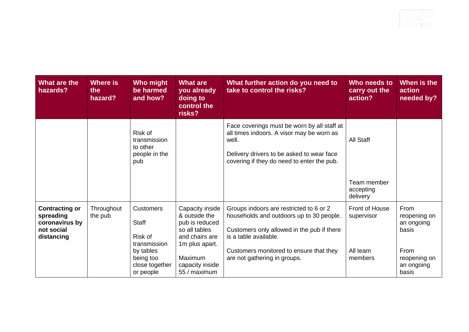| What are the<br>hazards?                                                         | Where is<br>the<br>hazard? | Who might<br>be harmed<br>and how?                          | <b>What are</b><br>you already<br>doing to<br>control the<br>risks?                                     | What further action do you need to<br>take to control the risks?                                                                                                                             | Who needs to<br>carry out the<br>action? | When is the<br>action<br>needed by?         |
|----------------------------------------------------------------------------------|----------------------------|-------------------------------------------------------------|---------------------------------------------------------------------------------------------------------|----------------------------------------------------------------------------------------------------------------------------------------------------------------------------------------------|------------------------------------------|---------------------------------------------|
|                                                                                  |                            | Risk of<br>transmission<br>to other<br>people in the<br>pub |                                                                                                         | Face coverings must be worn by all staff at<br>all times indoors. A visor may be worn as<br>well.<br>Delivery drivers to be asked to wear face<br>covering if they do need to enter the pub. | All Staff<br>Team member<br>accepting    |                                             |
|                                                                                  |                            |                                                             |                                                                                                         |                                                                                                                                                                                              | delivery                                 |                                             |
| <b>Contracting or</b><br>spreading<br>coronavirus by<br>not social<br>distancing | Throughout<br>the pub      | <b>Customers</b><br><b>Staff</b><br>Risk of<br>transmission | Capacity inside<br>& outside the<br>pub is reduced<br>so all tables<br>and chairs are<br>1m plus apart. | Groups indoors are restricted to 6 or 2<br>households and outdoors up to 30 people.<br>Customers only allowed in the pub if there<br>is a table available.                                   | Front of House<br>supervisor             | From<br>reopening on<br>an ongoing<br>basis |
|                                                                                  |                            | by tables<br>being too<br>close together<br>or people       | Maximum<br>capacity inside<br>55 / maximum                                                              | Customers monitored to ensure that they<br>are not gathering in groups.                                                                                                                      | All team<br>members                      | From<br>reopening on<br>an ongoing<br>basis |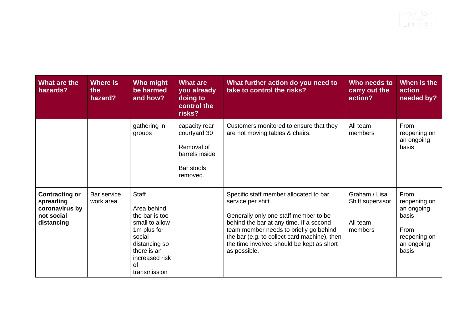| What are the<br>hazards?                                                         | Where is<br>the<br>hazard? | Who might<br>be harmed<br>and how?                                                                                                                               | <b>What are</b><br>you already<br>doing to<br>control the<br>risks?                      | What further action do you need to<br>take to control the risks?                                                                                                                                                                                                                                        | Who needs to<br>carry out the<br>action?                 | When is the<br>action<br>needed by?                                                        |
|----------------------------------------------------------------------------------|----------------------------|------------------------------------------------------------------------------------------------------------------------------------------------------------------|------------------------------------------------------------------------------------------|---------------------------------------------------------------------------------------------------------------------------------------------------------------------------------------------------------------------------------------------------------------------------------------------------------|----------------------------------------------------------|--------------------------------------------------------------------------------------------|
|                                                                                  |                            | gathering in<br>groups                                                                                                                                           | capacity rear<br>courtyard 30<br>Removal of<br>barrels inside.<br>Bar stools<br>removed. | Customers monitored to ensure that they<br>are not moving tables & chairs.                                                                                                                                                                                                                              | All team<br>members                                      | From<br>reopening on<br>an ongoing<br>basis                                                |
| <b>Contracting or</b><br>spreading<br>coronavirus by<br>not social<br>distancing | Bar service<br>work area   | <b>Staff</b><br>Area behind<br>the bar is too<br>small to allow<br>1m plus for<br>social<br>distancing so<br>there is an<br>increased risk<br>of<br>transmission |                                                                                          | Specific staff member allocated to bar<br>service per shift.<br>Generally only one staff member to be<br>behind the bar at any time. If a second<br>team member needs to briefly go behind<br>the bar (e.g. to collect card machine), then<br>the time involved should be kept as short<br>as possible. | Graham / Lisa<br>Shift supervisor<br>All team<br>members | From<br>reopening on<br>an ongoing<br>basis<br>From<br>reopening on<br>an ongoing<br>basis |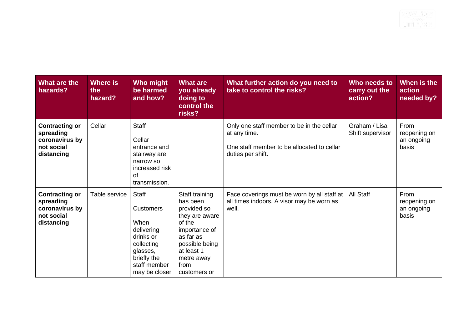| What are the<br>hazards?                                                         | <b>Where is</b><br>the<br>hazard? | Who might<br>be harmed<br>and how?                                                                                                     | <b>What are</b><br>you already<br>doing to<br>control the<br>risks?                                                                                                       | What further action do you need to<br>take to control the risks?                                                             | Who needs to<br>carry out the<br>action? | When is the<br>action<br>needed by?         |
|----------------------------------------------------------------------------------|-----------------------------------|----------------------------------------------------------------------------------------------------------------------------------------|---------------------------------------------------------------------------------------------------------------------------------------------------------------------------|------------------------------------------------------------------------------------------------------------------------------|------------------------------------------|---------------------------------------------|
| <b>Contracting or</b><br>spreading<br>coronavirus by<br>not social<br>distancing | Cellar                            | <b>Staff</b><br>Cellar<br>entrance and<br>stairway are<br>narrow so<br>increased risk<br>Ωf<br>transmission.                           |                                                                                                                                                                           | Only one staff member to be in the cellar<br>at any time.<br>One staff member to be allocated to cellar<br>duties per shift. | Graham / Lisa<br>Shift supervisor        | From<br>reopening on<br>an ongoing<br>basis |
| <b>Contracting or</b><br>spreading<br>coronavirus by<br>not social<br>distancing | Table service                     | Staff<br><b>Customers</b><br>When<br>delivering<br>drinks or<br>collecting<br>glasses,<br>briefly the<br>staff member<br>may be closer | Staff training<br>has been<br>provided so<br>they are aware<br>of the<br>importance of<br>as far as<br>possible being<br>at least 1<br>metre away<br>from<br>customers or | Face coverings must be worn by all staff at<br>all times indoors. A visor may be worn as<br>well.                            | All Staff                                | From<br>reopening on<br>an ongoing<br>basis |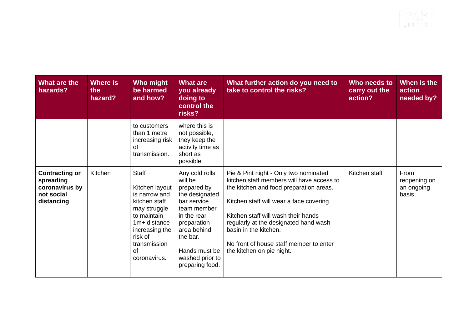| What are the<br>hazards?                                                         | Where is<br>the<br>hazard? | Who might<br>be harmed<br>and how?                                                                                                                                                        | <b>What are</b><br>you already<br>doing to<br>control the<br>risks?                                                                                                                                      | What further action do you need to<br>take to control the risks?                                                                                                                                                                                                                                                                                           | Who needs to<br>carry out the<br>action? | When is the<br>action<br>needed by?         |
|----------------------------------------------------------------------------------|----------------------------|-------------------------------------------------------------------------------------------------------------------------------------------------------------------------------------------|----------------------------------------------------------------------------------------------------------------------------------------------------------------------------------------------------------|------------------------------------------------------------------------------------------------------------------------------------------------------------------------------------------------------------------------------------------------------------------------------------------------------------------------------------------------------------|------------------------------------------|---------------------------------------------|
|                                                                                  |                            | to customers<br>than 1 metre<br>increasing risk  <br>of<br>transmission.                                                                                                                  | where this is<br>not possible,<br>they keep the<br>activity time as<br>short as<br>possible.                                                                                                             |                                                                                                                                                                                                                                                                                                                                                            |                                          |                                             |
| <b>Contracting or</b><br>spreading<br>coronavirus by<br>not social<br>distancing | Kitchen                    | <b>Staff</b><br>Kitchen layout<br>is narrow and<br>kitchen staff<br>may struggle<br>to maintain<br>1m+ distance<br>increasing the<br>risk of<br>transmission<br><b>of</b><br>coronavirus. | Any cold rolls<br>will be<br>prepared by<br>the designated<br>bar service<br>team member<br>in the rear<br>preparation<br>area behind<br>the bar.<br>Hands must be<br>washed prior to<br>preparing food. | Pie & Pint night - Only two nominated<br>kitchen staff members will have access to<br>the kitchen and food preparation areas.<br>Kitchen staff will wear a face covering.<br>Kitchen staff will wash their hands<br>regularly at the designated hand wash<br>basin in the kitchen.<br>No front of house staff member to enter<br>the kitchen on pie night. | Kitchen staff                            | From<br>reopening on<br>an ongoing<br>basis |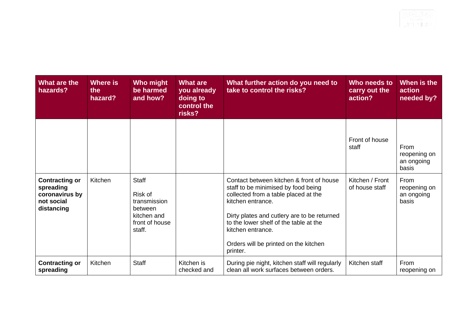| What are the<br>hazards?                                                         | Where is<br>the<br>hazard? | Who might<br>be harmed<br>and how?                                                            | <b>What are</b><br>you already<br>doing to<br>control the<br>risks? | What further action do you need to<br>take to control the risks?                                                                                                                                                                                                                                                | Who needs to<br>carry out the<br>action? | When is the<br>action<br>needed by?         |
|----------------------------------------------------------------------------------|----------------------------|-----------------------------------------------------------------------------------------------|---------------------------------------------------------------------|-----------------------------------------------------------------------------------------------------------------------------------------------------------------------------------------------------------------------------------------------------------------------------------------------------------------|------------------------------------------|---------------------------------------------|
|                                                                                  |                            |                                                                                               |                                                                     |                                                                                                                                                                                                                                                                                                                 | Front of house<br>staff                  | From<br>reopening on<br>an ongoing<br>basis |
| <b>Contracting or</b><br>spreading<br>coronavirus by<br>not social<br>distancing | Kitchen                    | <b>Staff</b><br>Risk of<br>transmission<br>between<br>kitchen and<br>front of house<br>staff. |                                                                     | Contact between kitchen & front of house<br>staff to be minimised by food being<br>collected from a table placed at the<br>kitchen entrance.<br>Dirty plates and cutlery are to be returned<br>to the lower shelf of the table at the<br>kitchen entrance.<br>Orders will be printed on the kitchen<br>printer. | Kitchen / Front<br>of house staff        | From<br>reopening on<br>an ongoing<br>basis |
| <b>Contracting or</b><br>spreading                                               | Kitchen                    | <b>Staff</b>                                                                                  | Kitchen is<br>checked and                                           | During pie night, kitchen staff will regularly<br>clean all work surfaces between orders.                                                                                                                                                                                                                       | Kitchen staff                            | From<br>reopening on                        |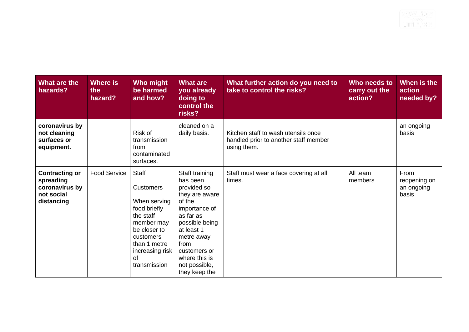| What are the<br>hazards?                                                         | Where is<br>the<br>hazard? | Who might<br>be harmed<br>and how?                                                                                                                                         | <b>What are</b><br>you already<br>doing to<br>control the<br>risks?                                                                                                                                                          | What further action do you need to<br>take to control the risks?                            | Who needs to<br>carry out the<br>action? | When is the<br>action<br>needed by?         |
|----------------------------------------------------------------------------------|----------------------------|----------------------------------------------------------------------------------------------------------------------------------------------------------------------------|------------------------------------------------------------------------------------------------------------------------------------------------------------------------------------------------------------------------------|---------------------------------------------------------------------------------------------|------------------------------------------|---------------------------------------------|
| coronavirus by<br>not cleaning<br>surfaces or<br>equipment.                      |                            | Risk of<br>transmission<br>from<br>contaminated<br>surfaces.                                                                                                               | cleaned on a<br>daily basis.                                                                                                                                                                                                 | Kitchen staff to wash utensils once<br>handled prior to another staff member<br>using them. |                                          | an ongoing<br>basis                         |
| <b>Contracting or</b><br>spreading<br>coronavirus by<br>not social<br>distancing | <b>Food Service</b>        | Staff<br><b>Customers</b><br>When serving<br>food briefly<br>the staff<br>member may<br>be closer to<br>customers<br>than 1 metre<br>increasing risk<br>of<br>transmission | Staff training<br>has been<br>provided so<br>they are aware<br>of the<br>importance of<br>as far as<br>possible being<br>at least 1<br>metre away<br>from<br>customers or<br>where this is<br>not possible,<br>they keep the | Staff must wear a face covering at all<br>times.                                            | All team<br>members                      | From<br>reopening on<br>an ongoing<br>basis |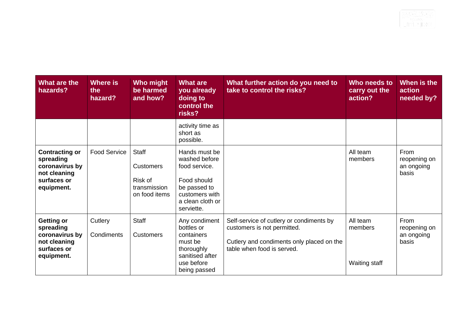| What are the<br>hazards?                                                                          | Where is<br>the<br>hazard? | Who might<br>be harmed<br>and how?                                           | <b>What are</b><br>you already<br>doing to<br>control the<br>risks?                                                                | What further action do you need to<br>take to control the risks?                                                                                   | Who needs to<br>carry out the<br>action? | When is the<br>action<br>needed by?         |
|---------------------------------------------------------------------------------------------------|----------------------------|------------------------------------------------------------------------------|------------------------------------------------------------------------------------------------------------------------------------|----------------------------------------------------------------------------------------------------------------------------------------------------|------------------------------------------|---------------------------------------------|
|                                                                                                   |                            |                                                                              | activity time as<br>short as<br>possible.                                                                                          |                                                                                                                                                    |                                          |                                             |
| <b>Contracting or</b><br>spreading<br>coronavirus by<br>not cleaning<br>surfaces or<br>equipment. | <b>Food Service</b>        | <b>Staff</b><br><b>Customers</b><br>Risk of<br>transmission<br>on food items | Hands must be<br>washed before<br>food service.<br>Food should<br>be passed to<br>customers with<br>a clean cloth or<br>serviette. |                                                                                                                                                    | All team<br>members                      | From<br>reopening on<br>an ongoing<br>basis |
| <b>Getting or</b><br>spreading<br>coronavirus by<br>not cleaning<br>surfaces or<br>equipment.     | Cutlery<br>Condiments      | <b>Staff</b><br><b>Customers</b>                                             | Any condiment<br>bottles or<br>containers<br>must be<br>thoroughly<br>sanitised after<br>use before<br>being passed                | Self-service of cutlery or condiments by<br>customers is not permitted.<br>Cutlery and condiments only placed on the<br>table when food is served. | All team<br>members<br>Waiting staff     | From<br>reopening on<br>an ongoing<br>basis |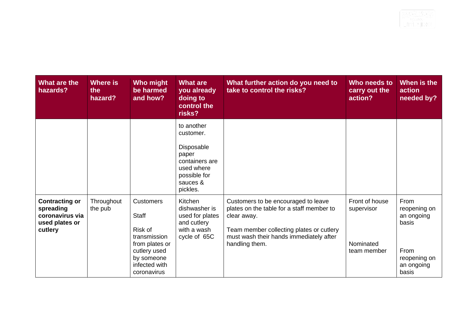| What are the<br>hazards?                                                           | Where is<br>the<br>hazard? | <b>Who might</b><br>be harmed<br>and how?                                                                                                   | <b>What are</b><br>you already<br>doing to<br>control the<br>risks?                                                    | What further action do you need to<br>take to control the risks?                                                                                                                                         | Who needs to<br>carry out the<br>action?                 | When is the<br>action<br>needed by?                                                        |
|------------------------------------------------------------------------------------|----------------------------|---------------------------------------------------------------------------------------------------------------------------------------------|------------------------------------------------------------------------------------------------------------------------|----------------------------------------------------------------------------------------------------------------------------------------------------------------------------------------------------------|----------------------------------------------------------|--------------------------------------------------------------------------------------------|
|                                                                                    |                            |                                                                                                                                             | to another<br>customer.<br>Disposable<br>paper<br>containers are<br>used where<br>possible for<br>sauces &<br>pickles. |                                                                                                                                                                                                          |                                                          |                                                                                            |
| <b>Contracting or</b><br>spreading<br>coronavirus via<br>used plates or<br>cutlery | Throughout<br>the pub      | <b>Customers</b><br><b>Staff</b><br>Risk of<br>transmission<br>from plates or<br>cutlery used<br>by someone<br>infected with<br>coronavirus | Kitchen<br>dishwasher is<br>used for plates<br>and cutlery<br>with a wash<br>cycle of 65C                              | Customers to be encouraged to leave<br>plates on the table for a staff member to<br>clear away.<br>Team member collecting plates or cutlery<br>must wash their hands immediately after<br>handling them. | Front of house<br>supervisor<br>Nominated<br>team member | From<br>reopening on<br>an ongoing<br>basis<br>From<br>reopening on<br>an ongoing<br>basis |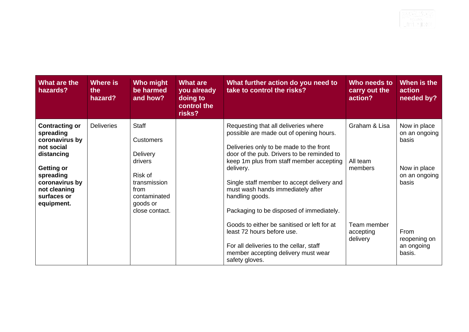| What are the<br>hazards?                                                                                                                                                          | Where is<br>the<br>hazard? | Who might<br>be harmed<br>and how?                                                                                                              | <b>What are</b><br>you already<br>doing to<br>control the<br>risks? | What further action do you need to<br>take to control the risks?                                                                                                                                                                                                                                                                                                                    | Who needs to<br>carry out the<br>action? | When is the<br>action<br>needed by?                                              |
|-----------------------------------------------------------------------------------------------------------------------------------------------------------------------------------|----------------------------|-------------------------------------------------------------------------------------------------------------------------------------------------|---------------------------------------------------------------------|-------------------------------------------------------------------------------------------------------------------------------------------------------------------------------------------------------------------------------------------------------------------------------------------------------------------------------------------------------------------------------------|------------------------------------------|----------------------------------------------------------------------------------|
| <b>Contracting or</b><br>spreading<br>coronavirus by<br>not social<br>distancing<br><b>Getting or</b><br>spreading<br>coronavirus by<br>not cleaning<br>surfaces or<br>equipment. | <b>Deliveries</b>          | <b>Staff</b><br><b>Customers</b><br><b>Delivery</b><br>drivers<br>Risk of<br>transmission<br>from<br>contaminated<br>goods or<br>close contact. |                                                                     | Requesting that all deliveries where<br>possible are made out of opening hours.<br>Deliveries only to be made to the front<br>door of the pub. Drivers to be reminded to<br>keep 1m plus from staff member accepting<br>delivery.<br>Single staff member to accept delivery and<br>must wash hands immediately after<br>handling goods.<br>Packaging to be disposed of immediately. | Graham & Lisa<br>All team<br>members     | Now in place<br>on an ongoing<br>basis<br>Now in place<br>on an ongoing<br>basis |
|                                                                                                                                                                                   |                            |                                                                                                                                                 |                                                                     | Goods to either be sanitised or left for at<br>least 72 hours before use.<br>For all deliveries to the cellar, staff<br>member accepting delivery must wear<br>safety gloves.                                                                                                                                                                                                       | Team member<br>accepting<br>delivery     | From<br>reopening on<br>an ongoing<br>basis.                                     |